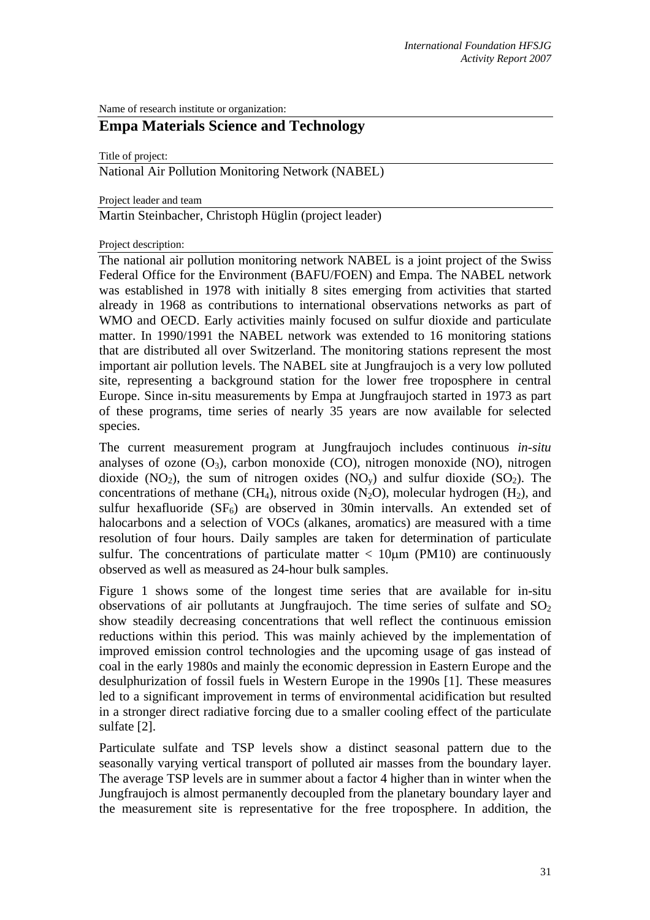Name of research institute or organization:

## **Empa Materials Science and Technology**

Title of project:

National Air Pollution Monitoring Network (NABEL)

Project leader and team

Martin Steinbacher, Christoph Hüglin (project leader)

Project description:

The national air pollution monitoring network NABEL is a joint project of the Swiss Federal Office for the Environment (BAFU/FOEN) and Empa. The NABEL network was established in 1978 with initially 8 sites emerging from activities that started already in 1968 as contributions to international observations networks as part of WMO and OECD. Early activities mainly focused on sulfur dioxide and particulate matter. In 1990/1991 the NABEL network was extended to 16 monitoring stations that are distributed all over Switzerland. The monitoring stations represent the most important air pollution levels. The NABEL site at Jungfraujoch is a very low polluted site, representing a background station for the lower free troposphere in central Europe. Since in-situ measurements by Empa at Jungfraujoch started in 1973 as part of these programs, time series of nearly 35 years are now available for selected species.

The current measurement program at Jungfraujoch includes continuous *in-situ* analyses of ozone  $(O_3)$ , carbon monoxide  $(CO)$ , nitrogen monoxide  $(NO)$ , nitrogen dioxide (NO<sub>2</sub>), the sum of nitrogen oxides (NO<sub>y</sub>) and sulfur dioxide (SO<sub>2</sub>). The concentrations of methane (CH<sub>4</sub>), nitrous oxide (N<sub>2</sub>O), molecular hydrogen (H<sub>2</sub>), and sulfur hexafluoride  $(SF_6)$  are observed in 30min intervalls. An extended set of halocarbons and a selection of VOCs (alkanes, aromatics) are measured with a time resolution of four hours. Daily samples are taken for determination of particulate sulfur. The concentrations of particulate matter  $< 10 \mu m$  (PM10) are continuously observed as well as measured as 24-hour bulk samples.

Figure 1 shows some of the longest time series that are available for in-situ observations of air pollutants at Jungfraujoch. The time series of sulfate and  $SO<sub>2</sub>$ show steadily decreasing concentrations that well reflect the continuous emission reductions within this period. This was mainly achieved by the implementation of improved emission control technologies and the upcoming usage of gas instead of coal in the early 1980s and mainly the economic depression in Eastern Europe and the desulphurization of fossil fuels in Western Europe in the 1990s [1]. These measures led to a significant improvement in terms of environmental acidification but resulted in a stronger direct radiative forcing due to a smaller cooling effect of the particulate sulfate [2].

Particulate sulfate and TSP levels show a distinct seasonal pattern due to the seasonally varying vertical transport of polluted air masses from the boundary layer. The average TSP levels are in summer about a factor 4 higher than in winter when the Jungfraujoch is almost permanently decoupled from the planetary boundary layer and the measurement site is representative for the free troposphere. In addition, the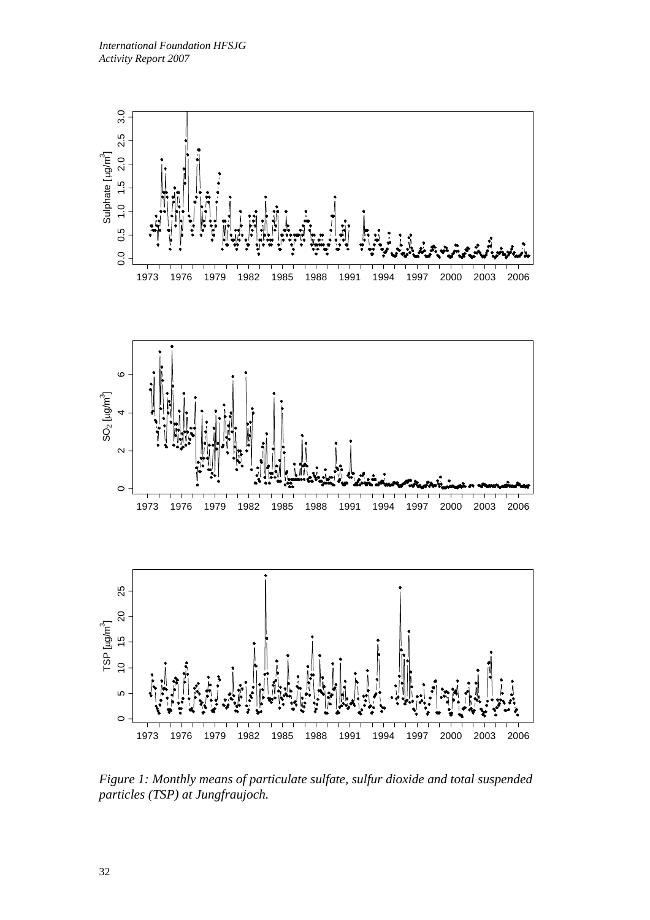

*Figure 1: Monthly means of particulate sulfate, sulfur dioxide and total suspended particles (TSP) at Jungfraujoch.*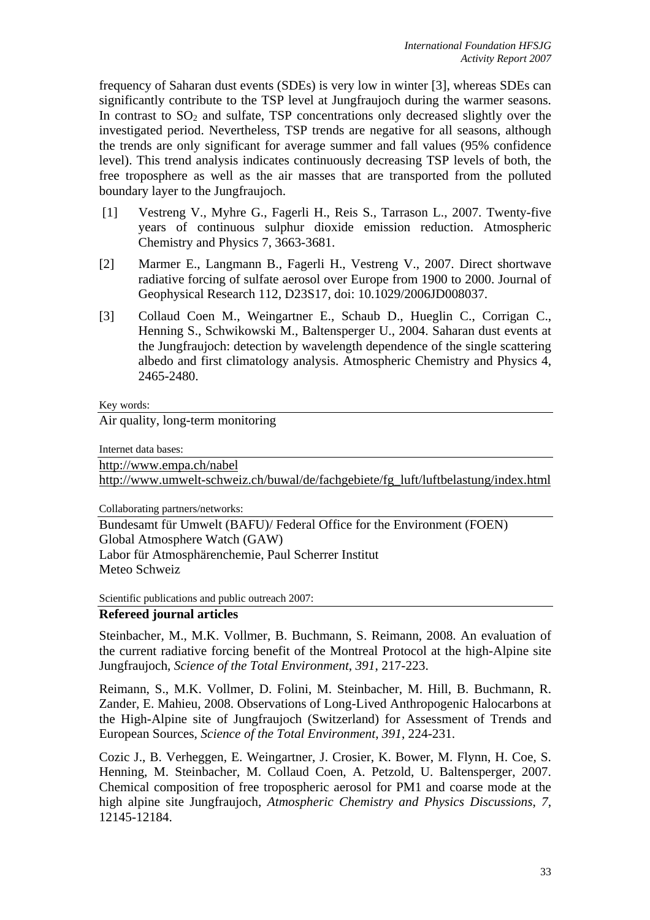frequency of Saharan dust events (SDEs) is very low in winter [3], whereas SDEs can significantly contribute to the TSP level at Jungfraujoch during the warmer seasons. In contrast to  $SO<sub>2</sub>$  and sulfate, TSP concentrations only decreased slightly over the investigated period. Nevertheless, TSP trends are negative for all seasons, although the trends are only significant for average summer and fall values (95% confidence level). This trend analysis indicates continuously decreasing TSP levels of both, the free troposphere as well as the air masses that are transported from the polluted boundary layer to the Jungfraujoch.

- [1] Vestreng V., Myhre G., Fagerli H., Reis S., Tarrason L., 2007. Twenty-five years of continuous sulphur dioxide emission reduction. Atmospheric Chemistry and Physics 7, 3663-3681.
- [2] Marmer E., Langmann B., Fagerli H., Vestreng V., 2007. Direct shortwave radiative forcing of sulfate aerosol over Europe from 1900 to 2000. Journal of Geophysical Research 112, D23S17, doi: 10.1029/2006JD008037.
- [3] Collaud Coen M., Weingartner E., Schaub D., Hueglin C., Corrigan C., Henning S., Schwikowski M., Baltensperger U., 2004. Saharan dust events at the Jungfraujoch: detection by wavelength dependence of the single scattering albedo and first climatology analysis. Atmospheric Chemistry and Physics 4, 2465-2480.

Key words:

Air quality, long-term monitoring

Internet data bases:

http://www.empa.ch/nabel

http://www.umwelt-schweiz.ch/buwal/de/fachgebiete/fg\_luft/luftbelastung/index.html

Collaborating partners/networks:

Bundesamt für Umwelt (BAFU)/ Federal Office for the Environment (FOEN) Global Atmosphere Watch (GAW) Labor für Atmosphärenchemie, Paul Scherrer Institut Meteo Schweiz

Scientific publications and public outreach 2007:

## **Refereed journal articles**

Steinbacher, M., M.K. Vollmer, B. Buchmann, S. Reimann, 2008. An evaluation of the current radiative forcing benefit of the Montreal Protocol at the high-Alpine site Jungfraujoch, *Science of the Total Environment*, *391*, 217-223.

Reimann, S., M.K. Vollmer, D. Folini, M. Steinbacher, M. Hill, B. Buchmann, R. Zander, E. Mahieu, 2008. Observations of Long-Lived Anthropogenic Halocarbons at the High-Alpine site of Jungfraujoch (Switzerland) for Assessment of Trends and European Sources, *Science of the Total Environment*, *391*, 224-231.

Cozic J., B. Verheggen, E. Weingartner, J. Crosier, K. Bower, M. Flynn, H. Coe, S. Henning, M. Steinbacher, M. Collaud Coen, A. Petzold, U. Baltensperger, 2007. Chemical composition of free tropospheric aerosol for PM1 and coarse mode at the high alpine site Jungfraujoch, *Atmospheric Chemistry and Physics Discussions*, *7*, 12145-12184.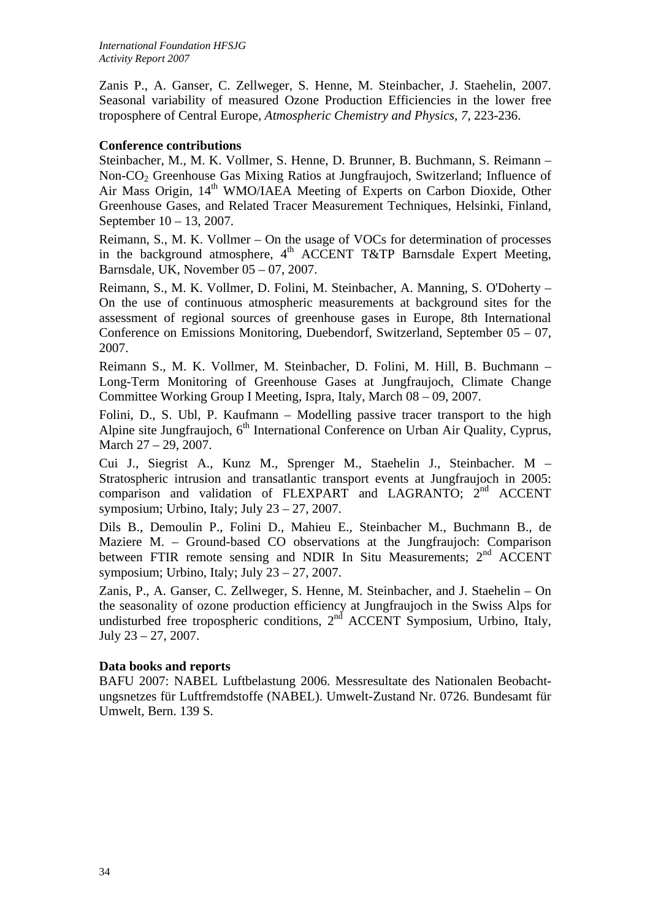Zanis P., A. Ganser, C. Zellweger, S. Henne, M. Steinbacher, J. Staehelin, 2007. Seasonal variability of measured Ozone Production Efficiencies in the lower free troposphere of Central Europe, *Atmospheric Chemistry and Physics*, *7*, 223-236.

## **Conference contributions**

Steinbacher, M., M. K. Vollmer, S. Henne, D. Brunner, B. Buchmann, S. Reimann – Non-CO2 Greenhouse Gas Mixing Ratios at Jungfraujoch, Switzerland; Influence of Air Mass Origin, 14<sup>th</sup> WMO/IAEA Meeting of Experts on Carbon Dioxide, Other Greenhouse Gases, and Related Tracer Measurement Techniques, Helsinki, Finland, September 10 – 13, 2007.

Reimann, S., M. K. Vollmer – On the usage of VOCs for determination of processes in the background atmosphere,  $4<sup>th</sup>$  ACCENT T&TP Barnsdale Expert Meeting, Barnsdale, UK, November 05 – 07, 2007.

Reimann, S., M. K. Vollmer, D. Folini, M. Steinbacher, A. Manning, S. O'Doherty – On the use of continuous atmospheric measurements at background sites for the assessment of regional sources of greenhouse gases in Europe, 8th International Conference on Emissions Monitoring, Duebendorf, Switzerland, September 05 – 07, 2007.

Reimann S., M. K. Vollmer, M. Steinbacher, D. Folini, M. Hill, B. Buchmann – Long-Term Monitoring of Greenhouse Gases at Jungfraujoch, Climate Change Committee Working Group I Meeting, Ispra, Italy, March 08 – 09, 2007.

Folini, D., S. Ubl, P. Kaufmann – Modelling passive tracer transport to the high Alpine site Jungfraujoch,  $6<sup>th</sup>$  International Conference on Urban Air Quality, Cyprus, March 27 – 29, 2007.

Cui J., Siegrist A., Kunz M., Sprenger M., Staehelin J., Steinbacher. M – Stratospheric intrusion and transatlantic transport events at Jungfraujoch in 2005: comparison and validation of FLEXPART and LAGRANTO; 2<sup>nd</sup> ACCENT symposium; Urbino, Italy; July 23 – 27, 2007.

Dils B., Demoulin P., Folini D., Mahieu E., Steinbacher M., Buchmann B., de Maziere M. – Ground-based CO observations at the Jungfraujoch: Comparison between FTIR remote sensing and NDIR In Situ Measurements;  $2<sup>nd</sup>$  ACCENT symposium; Urbino, Italy; July  $23 - 27$ , 2007.

Zanis, P., A. Ganser, C. Zellweger, S. Henne, M. Steinbacher, and J. Staehelin – On the seasonality of ozone production efficiency at Jungfraujoch in the Swiss Alps for undisturbed free tropospheric conditions,  $2<sup>nd</sup>$  ACCENT Symposium, Urbino, Italy, July 23 – 27, 2007.

## **Data books and reports**

BAFU 2007: NABEL Luftbelastung 2006. Messresultate des Nationalen Beobachtungsnetzes für Luftfremdstoffe (NABEL). Umwelt-Zustand Nr. 0726. Bundesamt für Umwelt, Bern. 139 S.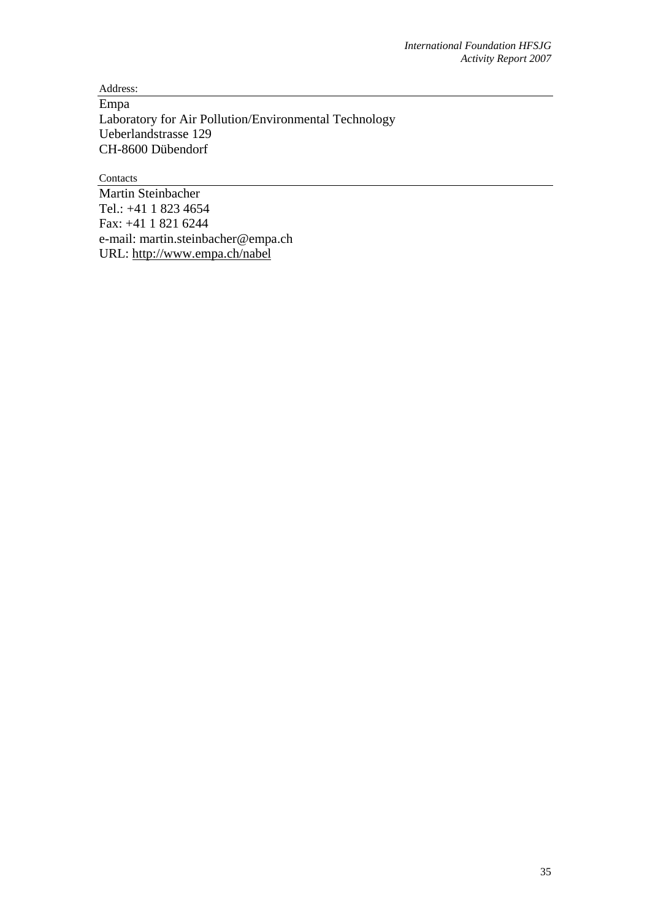Address:

Empa Laboratory for Air Pollution/Environmental Technology Ueberlandstrasse 129 CH-8600 Dübendorf

Contacts

Martin Steinbacher Tel.: +41 1 823 4654 Fax: +41 1 821 6244 e-mail: martin.steinbacher@empa.ch URL: http://www.empa.ch/nabel